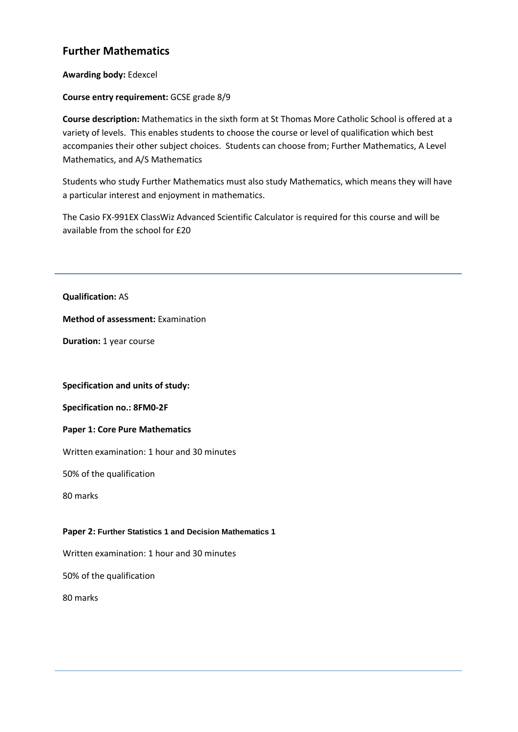# **Further Mathematics**

**Awarding body:** Edexcel

## **Course entry requirement:** GCSE grade 8/9

**Course description:** Mathematics in the sixth form at St Thomas More Catholic School is offered at a variety of levels. This enables students to choose the course or level of qualification which best accompanies their other subject choices. Students can choose from; Further Mathematics, A Level Mathematics, and A/S Mathematics

Students who study Further Mathematics must also study Mathematics, which means they will have a particular interest and enjoyment in mathematics.

The Casio FX-991EX ClassWiz Advanced Scientific Calculator is required for this course and will be available from the school for £20

**Qualification:** AS

**Method of assessment:** Examination

**Duration:** 1 year course

### **Specification and units of study:**

**Specification no.: 8FM0-2F**

### **Paper 1: Core Pure Mathematics**

Written examination: 1 hour and 30 minutes

50% of the qualification

80 marks

### **Paper 2: Further Statistics 1 and Decision Mathematics 1**

Written examination: 1 hour and 30 minutes

50% of the qualification

80 marks